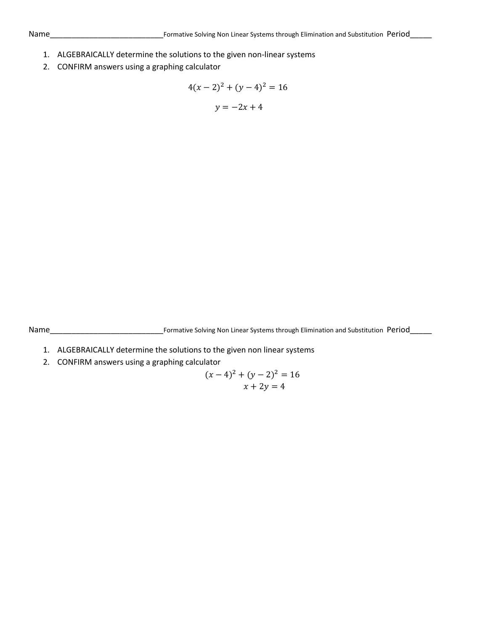- 1. ALGEBRAICALLY determine the solutions to the given non-linear systems
- 2. CONFIRM answers using a graphing calculator

$$
4(x-2)^2 + (y-4)^2 = 16
$$
  

$$
y = -2x + 4
$$

Name\_\_\_\_\_\_\_\_\_\_\_\_\_\_\_\_\_\_\_\_\_\_\_\_\_\_Formative Solving Non Linear Systems through Elimination and Substitution Period\_\_\_\_\_

- 1. ALGEBRAICALLY determine the solutions to the given non linear systems
- 2. CONFIRM answers using a graphing calculator

$$
(x-4)^2 + (y-2)^2 = 16
$$
  

$$
x + 2y = 4
$$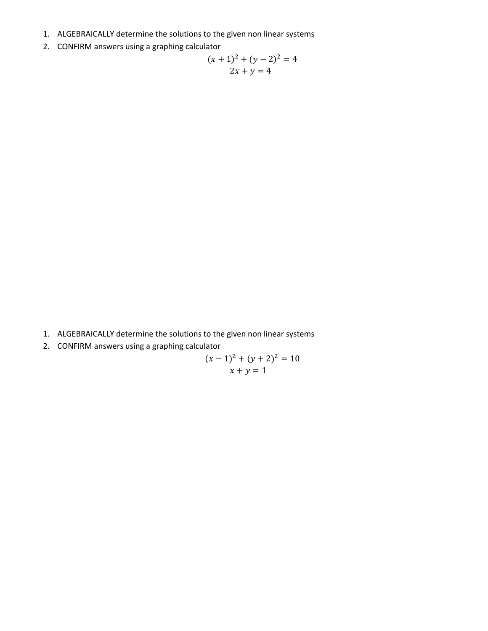- 1. ALGEBRAICALLY determine the solutions to the given non linear systems
- 2. CONFIRM answers using a graphing calculator

$$
(x + 1)2 + (y - 2)2 = 4
$$
  
2x + y = 4

- 1. ALGEBRAICALLY determine the solutions to the given non linear systems
- 2. CONFIRM answers using a graphing calculator

$$
(x-1)2 + (y+2)2 = 10
$$
  

$$
x + y = 1
$$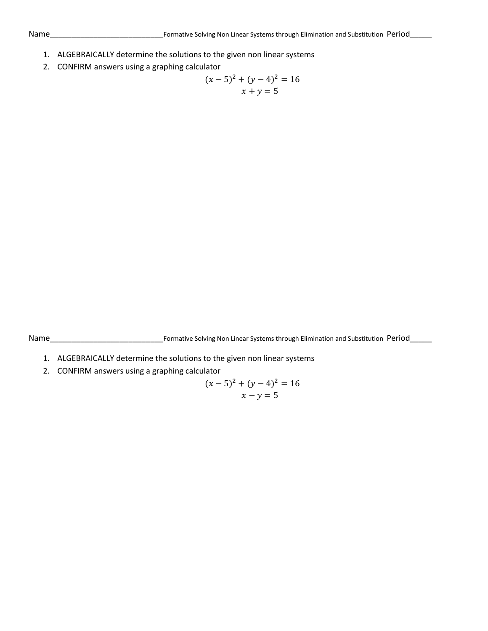- 1. ALGEBRAICALLY determine the solutions to the given non linear systems
- 2. CONFIRM answers using a graphing calculator

$$
(x-5)2 + (y-4)2 = 16
$$
  

$$
x + y = 5
$$

Name\_\_\_\_\_\_\_\_\_\_\_\_\_\_\_\_\_\_\_\_\_\_\_\_\_\_Formative Solving Non Linear Systems through Elimination and Substitution Period\_\_\_\_\_

- 1. ALGEBRAICALLY determine the solutions to the given non linear systems
- 2. CONFIRM answers using a graphing calculator

$$
(x-5)^2 + (y-4)^2 = 16
$$
  

$$
x - y = 5
$$